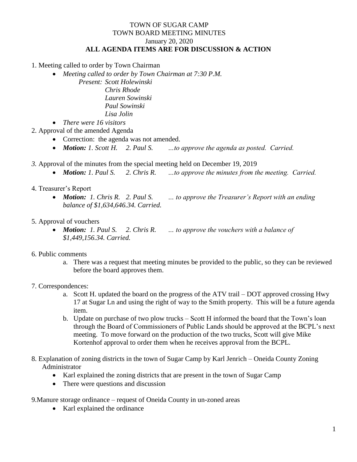## TOWN OF SUGAR CAMP TOWN BOARD MEETING MINUTES January 20, 2020 **ALL AGENDA ITEMS ARE FOR DISCUSSION & ACTION**

1. Meeting called to order by Town Chairman

- *Meeting called to order by Town Chairman at 7:30 P.M.*
	- *Present: Scott Holewinski Chris Rhode Lauren Sowinski Paul Sowinski*

*Lisa Jolin*

- *There were 16 visitors*
- 2. Approval of the amended Agenda
	- Correction: the agenda was not amended.
	- *Motion: 1. Scott H. 2. Paul S. …to approve the agenda as posted. Carried.*
- *3.* Approval of the minutes from the special meeting held on December 19, 2019
	- *Motion: 1. Paul S. 2. Chris R. …to approve the minutes from the meeting. Carried.*
- 4. Treasurer's Report
	- *Motion: 1. Chris R. 2. Paul S. … to approve the Treasurer's Report with an ending balance of \$1,634,646.34. Carried.*
- 5. Approval of vouchers
	- *Motion: 1. Paul S. 2. Chris R. … to approve the vouchers with a balance of \$1,449,156.34. Carried.*
- 6. Public comments
	- a. There was a request that meeting minutes be provided to the public, so they can be reviewed before the board approves them.
- 7. Correspondences:
	- a. Scott H. updated the board on the progress of the ATV trail DOT approved crossing Hwy 17 at Sugar Ln and using the right of way to the Smith property. This will be a future agenda item.
	- b. Update on purchase of two plow trucks Scott H informed the board that the Town's loan through the Board of Commissioners of Public Lands should be approved at the BCPL's next meeting. To move forward on the production of the two trucks, Scott will give Mike Kortenhof approval to order them when he receives approval from the BCPL.
- 8. Explanation of zoning districts in the town of Sugar Camp by Karl Jenrich Oneida County Zoning Administrator
	- Karl explained the zoning districts that are present in the town of Sugar Camp
	- There were questions and discussion

9.Manure storage ordinance – request of Oneida County in un-zoned areas

• Karl explained the ordinance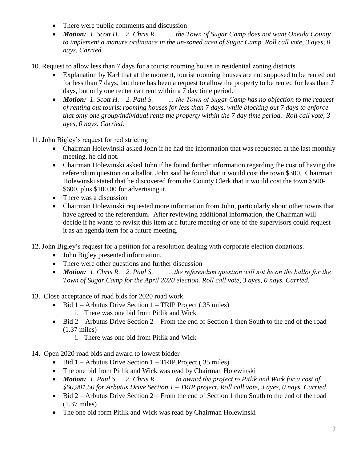- There were public comments and discussion
- *Motion: 1. Scott H. 2. Chris R. … the Town of Sugar Camp does not want Oneida County to implement a manure ordinance in the un-zoned area of Sugar Camp. Roll call vote, 3 ayes, 0 nays. Carried.*
- 10. Request to allow less than 7 days for a tourist rooming house in residential zoning districts
	- Explanation by Karl that at the moment, tourist rooming houses are not supposed to be rented out for less than 7 days, but there has been a request to allow the property to be rented for less than 7 days, but only one renter can rent within a 7 day time period.
	- *Motion: 1. Scott H. 2. Paul S. … the Town of Sugar Camp has no objection to the request of renting out tourist rooming houses for less than 7 days, while blocking out 7 days to enforce that only one group/individual rents the property within the 7 day time period. Roll call vote, 3 ayes, 0 nays. Carried.*
- 11. John Bigley's request for redistricting
	- Chairman Holewinski asked John if he had the information that was requested at the last monthly meeting, he did not.
	- Chairman Holewinski asked John if he found further information regarding the cost of having the referendum question on a ballot, John said he found that it would cost the town \$300. Chairman Holewinski stated that he discovered from the County Clerk that it would cost the town \$500- \$600, plus \$100.00 for advertising it.
	- There was a discussion
	- Chairman Holewinski requested more information from John, particularly about other towns that have agreed to the referendum. After reviewing additional information, the Chairman will decide if he wants to revisit this item at a future meeting or one of the supervisors could request it as an agenda item for a future meeting.
- 12. John Bigley's request for a petition for a resolution dealing with corporate election donations.
	- John Bigley presented information.
	- There were other questions and further discussion
	- *Motion: 1. Chris R. 2. Paul S. …the referendum question will not be on the ballot for the Town of Sugar Camp for the April 2020 election. Roll call vote, 3 ayes, 0 nays. Carried.*
- 13. Close acceptance of road bids for 2020 road work.
	- $\bullet$  Bid 1 Arbutus Drive Section 1 TRIP Project (.35 miles)
		- i. There was one bid from Pitlik and Wick
	- $\bullet$  Bid 2 Arbutus Drive Section 2 From the end of Section 1 then South to the end of the road (1.37 miles)
		- i. There was one bid from Pitlik and Wick
- 14. Open 2020 road bids and award to lowest bidder
	- $\bullet$  Bid 1 Arbutus Drive Section 1 TRIP Project (.35 miles)
	- The one bid from Pitlik and Wick was read by Chairman Holewinski
	- *Motion: 1. Paul S. 2. Chris R. … to award the project to Pitlik and Wick for a cost of \$60,901.50 for Arbutus Drive Section 1 – TRIP project. Roll call vote, 3 ayes, 0 nays. Carried.*
	- $\bullet$  Bid 2 Arbutus Drive Section 2 From the end of Section 1 then South to the end of the road (1.37 miles)
	- The one bid form Pitlik and Wick was read by Chairman Holewinski